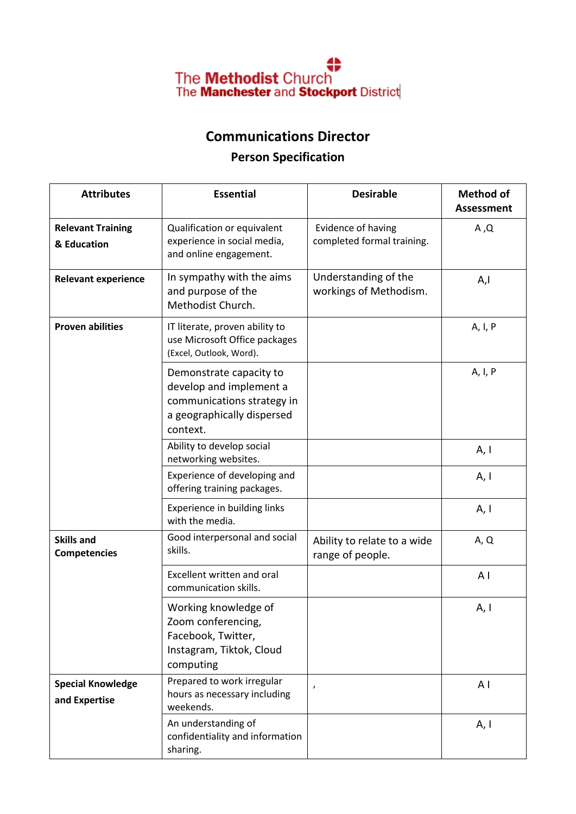

## **Communications Director**

## **Person Specification**

| <b>Attributes</b>                         | <b>Essential</b>                                                                                                           | <b>Desirable</b>                                 | <b>Method of</b><br><b>Assessment</b> |
|-------------------------------------------|----------------------------------------------------------------------------------------------------------------------------|--------------------------------------------------|---------------------------------------|
| <b>Relevant Training</b><br>& Education   | Qualification or equivalent<br>experience in social media,<br>and online engagement.                                       | Evidence of having<br>completed formal training. | A, Q                                  |
| <b>Relevant experience</b>                | In sympathy with the aims<br>and purpose of the<br>Methodist Church.                                                       | Understanding of the<br>workings of Methodism.   | A,I                                   |
| <b>Proven abilities</b>                   | IT literate, proven ability to<br>use Microsoft Office packages<br>(Excel, Outlook, Word).                                 |                                                  | A, I, P                               |
|                                           | Demonstrate capacity to<br>develop and implement a<br>communications strategy in<br>a geographically dispersed<br>context. |                                                  | A, I, P                               |
|                                           | Ability to develop social<br>networking websites.                                                                          |                                                  | A, I                                  |
|                                           | Experience of developing and<br>offering training packages.                                                                |                                                  | A, I                                  |
|                                           | Experience in building links<br>with the media.                                                                            |                                                  | A, I                                  |
| <b>Skills and</b><br><b>Competencies</b>  | Good interpersonal and social<br>skills.                                                                                   | Ability to relate to a wide<br>range of people.  | A, Q                                  |
|                                           | Excellent written and oral<br>communication skills.                                                                        |                                                  | A <sub>1</sub>                        |
|                                           | Working knowledge of<br>Zoom conferencing,<br>Facebook, Twitter,<br>Instagram, Tiktok, Cloud<br>computing                  |                                                  | A, I                                  |
| <b>Special Knowledge</b><br>and Expertise | Prepared to work irregular<br>hours as necessary including<br>weekends.                                                    | ,                                                | A <sub>1</sub>                        |
|                                           | An understanding of<br>confidentiality and information<br>sharing.                                                         |                                                  | A, I                                  |